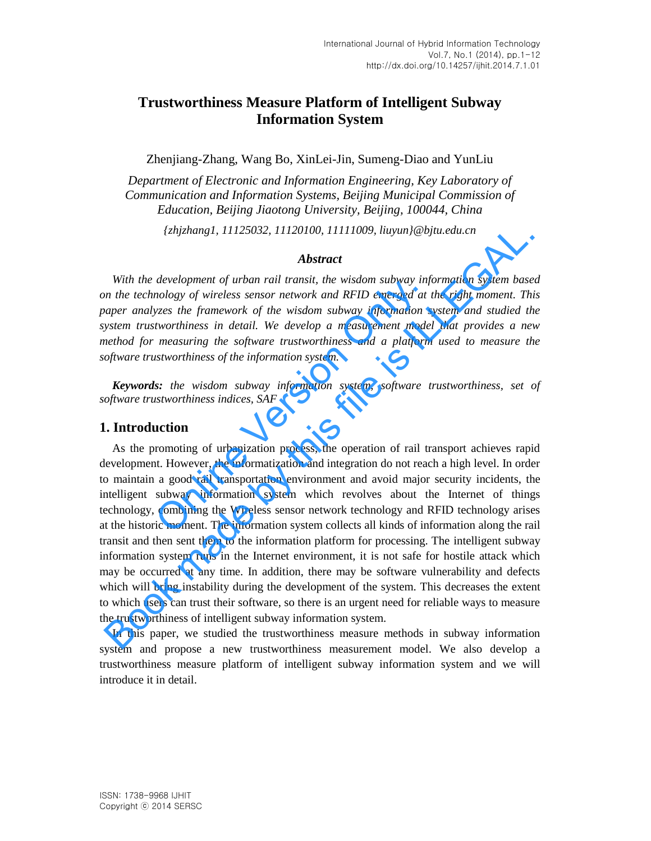# **Trustworthiness Measure Platform of Intelligent Subway Information System**

Zhenjiang-Zhang, Wang Bo, XinLei-Jin, Sumeng-Diao and YunLiu

*Department of Electronic and Information Engineering, Key Laboratory of Communication and Information Systems, Beijing Municipal Commission of Education, Beijing Jiaotong University, Beijing, 100044, China {zhjzhang1, 11125032, 11120100, 11111009, liuyun}@bjtu.edu.cn* 

### *Abstract*

*With the development of urban rail transit, the wisdom subway information system based on the technology of wireless sensor network and RFID emerged at the right moment. This paper analyzes the framework of the wisdom subway information system and studied the system trustworthiness in detail. We develop a measurement model that provides a new method for measuring the software trustworthiness and a platform used to measure the software trustworthiness of the information system.* 

*Keywords: the wisdom subway information system, software trustworthiness, set of software trustworthiness indices, SAF* 

### **1. Introduction**

As the promoting of urbanization process, the operation of rail transport achieves rapid development. However, the informatization and integration do not reach a high level. In order to maintain a good rail transportation environment and avoid major security incidents, the intelligent subway information system which revolves about the Internet of things technology, combining the Wireless sensor network technology and RFID technology arises at the historic moment. The information system collects all kinds of information along the rail transit and then sent them to the information platform for processing. The intelligent subway information system runs in the Internet environment, it is not safe for hostile attack which may be occurred at any time. In addition, there may be software vulnerability and defects which will bring instability during the development of the system. This decreases the extent to which users can trust their software, so there is an urgent need for reliable ways to measure the trustworthiness of intelligent subway information system. ably and the muslim and the muslim subway in the merged at vises the framework of the wisdom subway information stworthiness in detail. We develop a measurement mode measuring the software trustworthiness and a platform st (zhizhang), 11125032, 11120100, 11111009, liuyun)@bjtu.edu.cn<br> **Abstract**<br> **Abstract**<br>
With the develop[m](app:ds:system)ent of urban rail transit, the wisdom subway information nystem base<br>
with the technology of wireless sensor network

In this paper, we studied the trustworthiness measure methods in subway information [system](app:ds:system) and propose a new trustworthiness measurement model. We also develop a trustworthiness measure platform of [intelligent](app:ds:intelligent) subway information [system](app:ds:system) and we will introduce it in detail.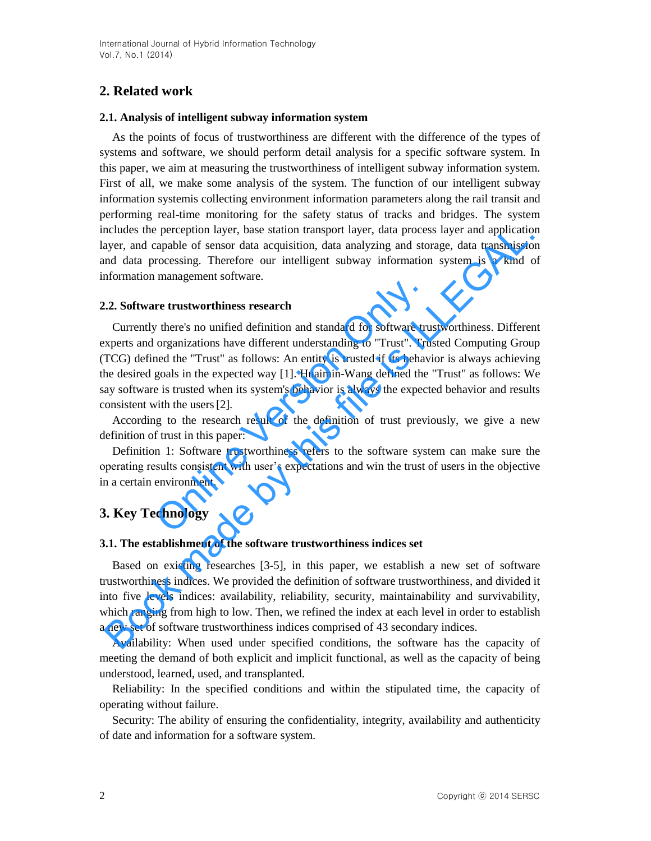## **2. Related work**

### **2.1. Analysis of [intelligent](app:ds:intelligent) subway information [system](app:ds:system)**

As the points of focus of trustworthiness are different with the difference of the types of systems and software, we should perform detail analysis for a specific software system. In this paper, we aim at measuring the trustworthiness of [intelligent](app:ds:intelligent) subway information [system.](app:ds:system) First of all, we make some analysis of the system. The function of our [intelligent](app:ds:intelligent) subway information [systemi](app:ds:system)s collecting environment information parameters along the rail transit and performing real-time monitoring for the safety status of tracks and bridges. The system includes the perception layer, base station transport layer, data process layer and application layer, and capable of sensor data acquisition, data analyzing and storage, data transmission and data processing. Therefore our intelligent subway information system is a kind of information management software.

### **2.2. Software trustworthiness research**

Currently there's no unified definition and standard for software trustworthiness. Different experts and organizations have different understanding to "Trust". Trusted Computing Group (TCG) defined the "Trust" as follows: An entity is trusted if its behavior is always achieving the desired goals in the expected way [1]. Huaimin-Wang defined the "Trust" as follows: We say software is trusted when its system's behavior is always the expected behavior and results consistent with the users[2]. re trustworthiness research<br>
there's no unified definition and standard for software tru<br>
organizations have different understanding to "Trust". Tru<br>
end the "Trust" as follows: An entity is trusted if its behav<br>
goals in ncludes the perception layer, base station transport layer, data process layer and application<br>sugar, and capable of seasor data acquisition, data analyzing and storage, data transmission<br>of data processing. Therefore our

According to the research result of the definition of trust previously, we give a new definition of trust in this paper:

Definition 1: Software trustworthiness refers to the software system can make sure the operating results consistent with user's expectations and win the trust of users in the objective in a certain environment.

## **3. Key Technology**

### **3.1. The establishment of the software trustworthiness indices set**

Based on existing researches [3-5], in this paper, we establish a new set of software trustworthiness indices. We provided the definition of software trustworthiness, and divided it into five levels indices: availability, reliability, security, maintainability and survivability, which ranging from high to low. Then, we refined the index at each level in order to establish a new set of software trustworthiness indices comprised of 43 secondary indices.

Availability: When used under specified conditions, the software has the capacity of meeting the demand of both explicit and implicit functional, as well as the capacity of being understood, learned, used, and transplanted.

Reliability: In the specified conditions and within the stipulated time, the capacity of operating without failure.

Security: The ability of ensuring the confidentiality, integrity, availability and authenticity of date and information for a software system.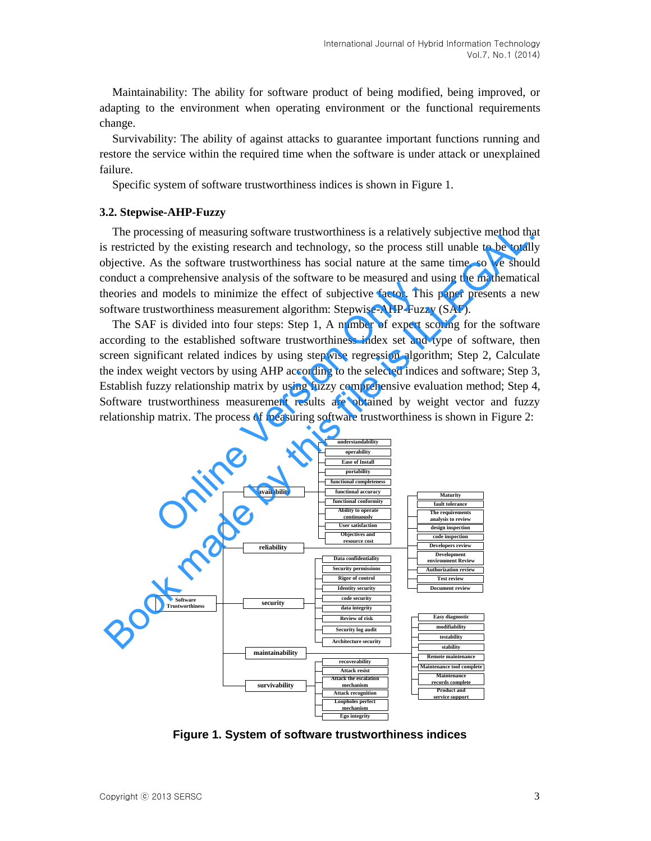Maintainability: The ability for software product of being modified, being improved, or adapting to the environment when operating environment or the functional requirements change.

Survivability: The ability of against attacks to guarantee important functions running and restore the service within the required time when the software is under attack or unexplained failure.

Specific system of software trustworthiness indices is shown in Figure 1.

### **3.2. Stepwise-AHP-Fuzzy**

The processing of measuring software trustworthiness is a relatively subjective method that is restricted by the existing research and technology, so the process still unable to be totally objective. As the software trustworthiness has social nature at the same time, so we should conduct a comprehensive analysis of the software to be measured and using the mathematical theories and models to minimize the effect of subjective factor. This paper presents a new software trustworthiness measurement algorithm: Stepwise-AHP-Fuzzy (SAF).

The SAF is divided into four steps: Step 1, A number of expert scoring for the software according to the established software trustworthiness index set and type of software, then screen significant related indices by using stepwise regression algorithm; Step 2, Calculate the index weight vectors by using AHP according to the selected indices and software; Step 3, Establish fuzzy relationship matrix by using fuzzy comprehensive evaluation method; Step 4, Software trustworthiness measurement results are obtained by weight vector and fuzzy relationship matrix. The process of measuring software trustworthiness is shown in Figure 2: In the set of the set of the set of the set of the set of the set of the set of the set of the set of the set of the set of the set of the set of the set of the set of the set of the set of the set of the set of the set of



**Figure 1. System of software trustworthiness indices**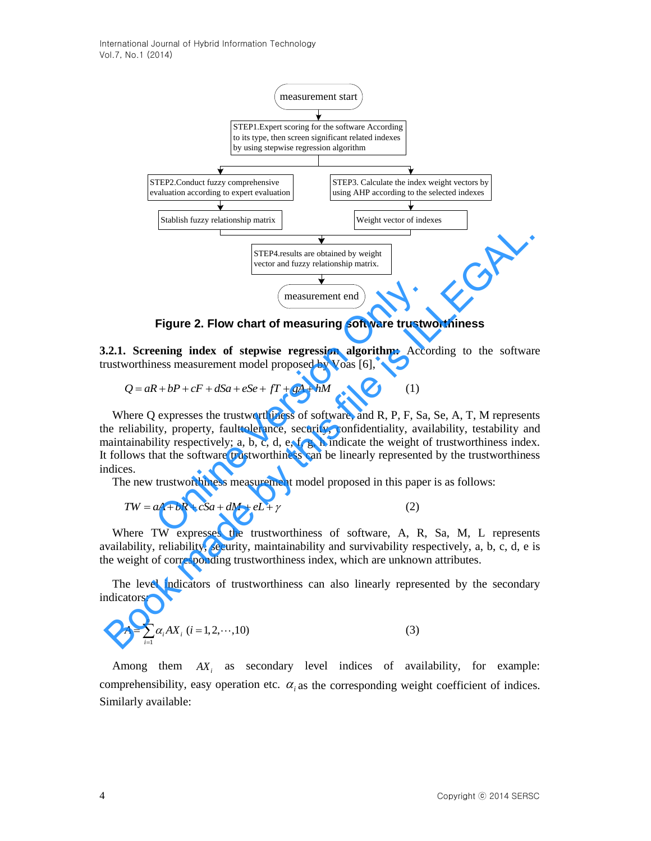International Journal of Hybrid Information Technology Vol.7, No.1 (2014)



**Figure 2. Flow chart of measuring software trustworthiness** 

**3.2.1. Screening index of stepwise regression algorithm:** According to the software trustworthiness measurement model proposed by Voas [6],<br>  $Q = aR + bP + cF + dSa + eSe + fT + gA + hM$ 

$$
Q = aR + bP + cF + dSa + eSe + fT + gA + hM
$$
 (1)

Where Q expresses the trustworthiness of software, and R, P, F, Sa, Se, A, T, M represents the reliability, property, faulttolerance, security, confidentiality, availability, testability and maintainability respectively; a, b, c, d, e, f, g, h indicate the weight of trustworthiness index. It follows that the software trustworthiness can be linearly represented by the trustworthiness indices. **Figure 2. Flow chart of measuring software trustw<br>ening index of stepwise regression algorithm:** Acco<br>eess measurement model proposed by Voas [6],<br> $R + bP + cF + dSa + eSe + fT + gA + hM$  (1)<br>expresses the trustworthiness of software, a

The new trustworthiness measurement model proposed in this paper is as follows:

$$
TW = aA + bR + cSa + dM + eL + \gamma
$$
\n<sup>(2)</sup>

Where TW expresses the trustworthiness of software, A, R, Sa, M, L represents availability, reliability, security, maintainability and survivability respectively, a, b, c, d, e is the weight of corresponding trustworthiness index, which are unknown attributes.

The level indicators of trustworthiness can also linearly represented by the secondary indicators:

$$
A = \sum_{i=1}^{n} \alpha_i A X_i \ (i = 1, 2, \cdots, 10)
$$
 (3)

Among them *AX<sup>i</sup>* as secondary level indices of availability, for example: comprehensibility, easy operation etc.  $\alpha_i$  as the corresponding weight coefficient of indices. Similarly available: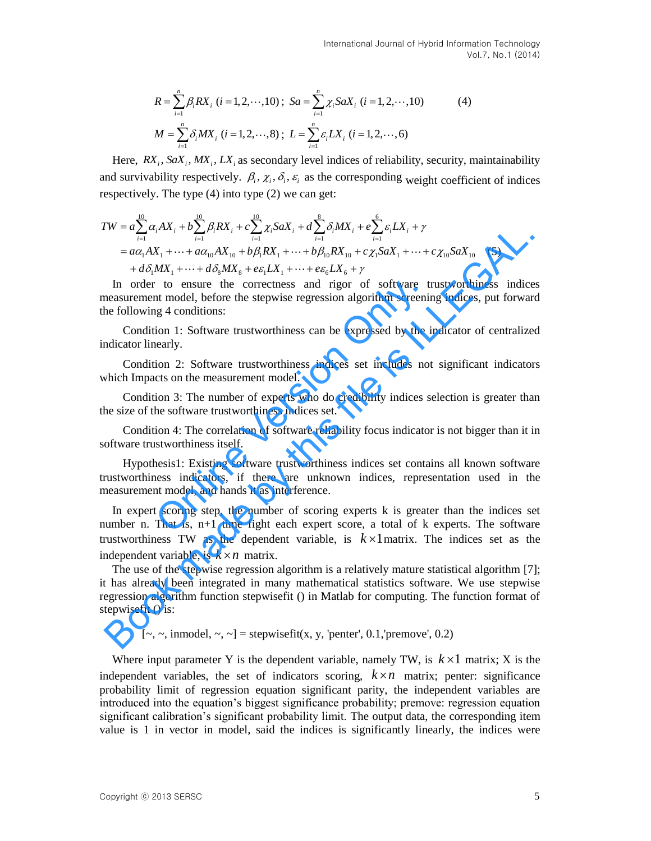$$
R = \sum_{i=1}^{n} \beta_i RX_i \ (i = 1, 2, \cdots, 10) \ ; \ Sa = \sum_{i=1}^{n} \chi_i SaX_i \ (i = 1, 2, \cdots, 10)
$$
\n
$$
M = \sum_{i=1}^{n} \delta_i MX_i \ (i = 1, 2, \cdots, 8) \ ; \ L = \sum_{i=1}^{n} \varepsilon_i LX_i \ (i = 1, 2, \cdots, 6)
$$
\n
$$
(4)
$$

Here,  $RX_i$ ,  $SaX_i$ ,  $MX_i$ ,  $LX_i$  as secondary level indices of reliability, security, maintainability and survivability respectively.  $\beta_i$ ,  $\chi_i$ ,  $\delta_i$ ,  $\varepsilon_i$  as the corresponding weight coefficient of indices respectively. The type (4) into type (2) we can get:<br>  $TW = a \sum_{i=1}^{10} \alpha_i AX_i + b \sum_{i=1}^{10} \beta_i RX_i + c \sum_{i=1}^{10} \chi_i SaX$ 

respectively. The type (4) into type (2) we can get:  
\n
$$
TW = a \sum_{i=1}^{10} \alpha_i AX_i + b \sum_{i=1}^{10} \beta_i RX_i + c \sum_{i=1}^{10} \chi_i SaX_i + d \sum_{i=1}^{8} \delta_i MX_i + e \sum_{i=1}^{6} \varepsilon_i LX_i + \gamma
$$
\n
$$
= a\alpha_1 AX_1 + \dots + a\alpha_{10} AX_{10} + b\beta_1 RX_1 + \dots + b\beta_{10} RX_{10} + c\chi_1 SaX_1 + \dots + c\chi_{10} SaX_{10}
$$
\n(5)  
\n
$$
+ d\delta_1 MX_1 + \dots + d\delta_8 MX_8 + e\varepsilon_1 LX_1 + \dots + e\varepsilon_6 LX_6 + \gamma
$$

In order to ensure the correctness and rigor of software trustworthiness indices measurement model, before the stepwise regression algorithm screening indices, put forward the following 4 conditions:

Condition 1: Software trustworthiness can be expressed by the indicator of centralized indicator linearly.

Condition 2: Software trustworthiness indices set includes not significant indicators which Impacts on the measurement model.

Condition 3: The number of experts who do credibility indices selection is greater than the size of the software trustworthiness indices set.

Condition 4: The correlation of software reliability focus indicator is not bigger than it in software trustworthiness itself.

Hypothesis1: Existing software trustworthiness indices set contains all known software trustworthiness indicators, if there are unknown indices, representation used in the measurement model, and hands it as interference. The correctness and rigor of software the the stepwise regression algorithm screening 4 conditions:<br>
ion 1: Software trustworthiness can be expressed by the indeedly.<br>
ion 2: Software trustworthiness indices set includes

In expert scoring step, the number of scoring experts k is greater than the indices set number n. That is, n+1 time fight each expert score, a total of k experts. The software trustworthiness TW as the dependent variable, is  $k \times 1$  matrix. The indices set as the independent variable, is  $k \times n$  matrix. IW =  $a_{\Sigma_1}a_iAX_i + b_{\Sigma_1}B_iRX_i + c_{\Sigma_1} \chi_iSax_i + e_{\Sigma_1} \chi_iSax_i + e_{\Sigma_1} \xi_iX_i + \gamma$ <br>
=  $a\alpha_iAX_1 + \cdots + a\alpha_mAX_m + b\beta_lRX_1 + \cdots + b\beta_mRX_m + \zeta_iSax_1 + \cdots + \zeta_iSax_0X_1$  (5)<br>
+  $d\delta_iMX_1 + \cdots + d\zeta_iMX_1 + \cdots + e\zeta_iX_s + \gamma$ <br>
In order to ensure the correctne

The use of the stepwise regression algorithm is a relatively mature statistical algorithm [7]; it has already been integrated in many mathematical statistics software. We use stepwise regression algorithm function stepwisefit () in Matlab for computing. The function format of stepwisefit () is:

 $[\sim, \sim, \text{imodel}, \sim, \sim]$  = stepwisefit(x, y, 'penter', 0.1, 'premove', 0.2)

Where input parameter Y is the dependent variable, namely TW, is  $k \times 1$  matrix; X is the independent variables, the set of indicators scoring,  $k \times n$  matrix; penter: significance probability limit of regression equation significant parity, the independent variables are introduced into the equation's biggest significance probability; premove: regression equation significant calibration's significant probability limit. The output data, the corresponding item value is 1 in vector in model, said the indices is significantly linearly, the indices were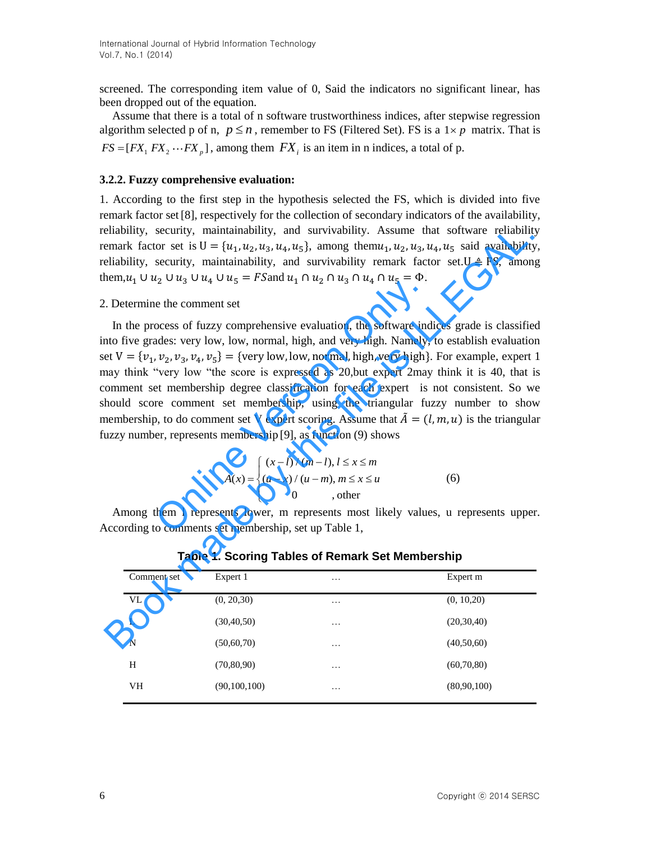screened. The corresponding item value of 0, Said the indicators no significant linear, has been dropped out of the equation.

Assume that there is a total of n software trustworthiness indices, after stepwise regression algorithm selected p of n,  $p \le n$ , remember to FS (Filtered Set). FS is a  $1 \times p$  matrix. That is  $FS = [FX_1 FX_2 \cdots FX_p]$ , among them  $FX_i$  is an item in n indices, a total of p.

### **3.2.2. Fuzzy comprehensive evaluation:**

1. According to the first step in the hypothesis selected the FS, which is divided into five remark factor set[8], respectively for the collection of secondary indicators of the availability, reliability, security, maintainability, and survivability. Assume that software reliability remark factor set is  $U = {u_1, u_2, u_3, u_4, u_5}$ , among them  $u_1, u_2, u_3, u_4, u_5$  said availability, reliability, security, maintainability, and survivability remark factor set.  $U \triangleq FS$ , among them,  $u_1 \cup u_2 \cup u_3 \cup u_4 \cup u_5 = FS$  and  $u_1 \cap u_2 \cap u_3 \cap u_4 \cap u_5 = \Phi$ .

### 2. Determine the comment set

In the process of fuzzy comprehensive evaluation, the software indices grade is classified into five grades: very low, low, normal, high, and very high. Namely, to establish evaluation set  $V = \{v_1, v_2, v_3, v_4, v_5\} = \{very low, low, normal, high, very high\}$ . For example, expert 1 may think "very low "the score is expressed as 20,but expert 2may think it is 40, that is comment set membership degree classification for each expert is not consistent. So we should score comment set membership, using the triangular fuzzy number to show membership, to do comment set V expert scoring. Assume that  $\tilde{A} = (l, m, u)$  is the triangular fuzzy number, represents membership [9], as function (9) shows  $v_2 \circ u_3 \circ u_4 \circ u_5 = 1$  Sulfa  $u_1 \cap u_2 \cap u_3 \cap u_4 \cap u_5 = +$ .<br>
e the comment set<br>
ocess of fuzzy comprehensive evaluation, the software ind<br>
ades: very low, low, normal, high, and very high. Namely,<br>
"very low "the score is eliability, security, maintainability, and survivability. Assume that software reliability<br>
emark factor set is U = [ $u_1 u_2 u_2 u_3 u_4 u_3 u_3$ ], among themu<sub>14</sub>,  $u_2 u_3 u_4 u_5 u_5 u_6$  and waintainability, security, maintaina

$$
A(x) = \begin{cases} (x-l)/(m-l), l \le x \le m \\ (u-x)/(u-m), m \le x \le u \\ 0, \text{ other} \end{cases}
$$
 (6)

Among them l represents lower, m represents most likely values, u represents upper. According to comments set membership, set up Table 1,

| Comment set | Expert 1     | .                 | Expert m    |
|-------------|--------------|-------------------|-------------|
| VL          | (0, 20, 30)  | .                 | (0, 10, 20) |
| L           | (30, 40, 50) | $\cdots$          | (20,30,40)  |
| N           | (50,60,70)   | .                 | (40,50,60)  |
| H           | (70, 80, 90) | $\cdot\cdot\cdot$ | (60,70,80)  |
| VH          | (90,100,100) | .                 | (80,90,100) |

**Table 1. Scoring Tables of Remark Set Membership**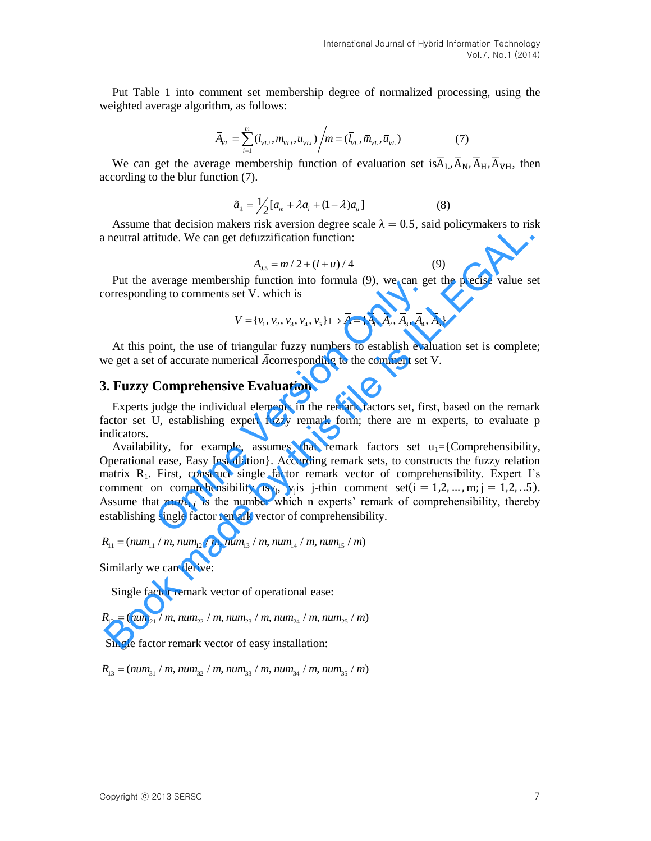Put Table 1 into comment set membership degree of normalized processing, using the weighted average algorithm, as follows:

$$
\overline{A}_{VL} = \sum_{i=1}^{m} (l_{VLi}, m_{VLi}, u_{VLi}) / m = (\overline{l}_{VL}, \overline{m}_{VL}, \overline{u}_{VL})
$$
(7)

We can get the average membership function of evaluation set is  $\overline{A}_L$ ,  $\overline{A}_N$ ,  $\overline{A}_H$ ,  $\overline{A}_{VH}$ , then according to the blur function (7).

$$
\tilde{a}_{\lambda} = \frac{1}{2} [a_m + \lambda a_l + (1 - \lambda) a_u]
$$
 (8)

Assume that decision makers risk aversion degree scale  $\lambda = 0.5$ , said policymakers to risk a neutral attitude. We can get defuzzification function:

$$
\overline{A}_{0.5} = m/2 + (l+u)/4 \tag{9}
$$

Put the average membership function into formula (9), we can get the precise value set corresponding to comments set V. which is

$$
V = \{v_1, v_2, v_3, v_4, v_5\} \mapsto \overline{A} = \{\overline{A}_1, \overline{A}_2, \overline{A}_3, \overline{A}_4, \overline{A}_5\}
$$

At this point, the use of triangular fuzzy numbers to establish evaluation set is complete; we get a set of accurate numerical  $\bar{A}$ corresponding to the comment set V.

### **3. Fuzzy Comprehensive Evaluation**

Experts judge the individual elements in the remark factors set, first, based on the remark factor set U, establishing expert fuzzy remark form; there are m experts, to evaluate p indicators.

Availability, for example, assumes that remark factors set  $u_1 = \{Comprehensibility,$ Operational ease, Easy Installation}. According remark sets, to constructs the fuzzy relation matrix  $R_1$ . First, construct single factor remark vector of comprehensibility. Expert I's comment on comprehensibility is  $v_j$ ,  $v_j$  is j-thin comment set  $(i = 1, 2, ..., m; j = 1, 2, ...5)$ . Assume that  $num_{1i}$  is the number which n experts' remark of comprehensibility, thereby establishing single factor remark vector of comprehensibility. We tage inemersing function into formula (9), we can get<br>of the metaster V. which is<br> $V = \{v_1, v_2, v_3, v_4, v_5\} \mapsto \overline{A} = \{\overline{A}_1, \overline{A}_2, \overline{A}_3, \overline{A}_4,$ <br>oint, the use of triangular fuzzy numbers to establish eval<br>of ac Assume that the castom masks is the averagnous the case  $n = 0.5$ , sate policyplances to its<br>neutral attitude. We can get define at definition:<br> $\overline{A}_{n,2} = m/2 + (l + u)/4$  (9)<br>Put the average membership function into formula (

 $R_{11} = (num_{11} / m, num_{12} / m, num_{13} / m, num_{14} / m, num_{15} / m)$ 

Similarly we can derive:

Single factor remark vector of operational ease:

 $R_{12} = (num_{21} / m, num_{22} / m, num_{23} / m, num_{24} / m, num_{25} / m)$ 

Single factor remark vector of easy installation:

 $R_{13} = (num_{31} / m, num_{32} / m, num_{33} / m, num_{34} / m, num_{35} / m)$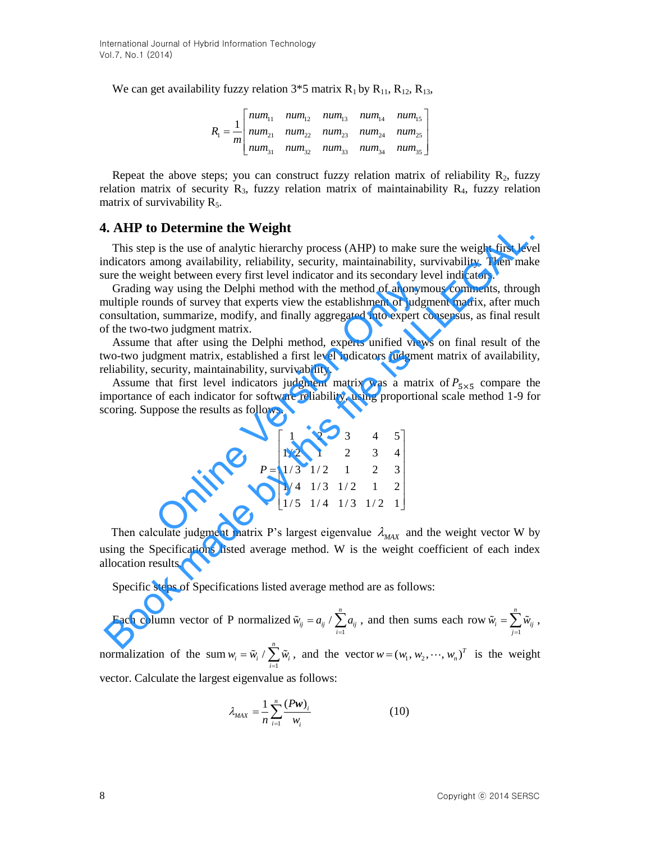We can get availability fuzzy relation  $3*5$  matrix  $R_1$  by  $R_{11}$ ,  $R_{12}$ ,  $R_{13}$ ,

$$
R_1 = \frac{1}{m} \begin{bmatrix} num_{11} & num_{12} & num_{13} & num_{14} & num_{15} \\ num_{21} & num_{22} & num_{23} & num_{24} & num_{25} \\ num_{31} & num_{32} & num_{33} & num_{34} & num_{35} \end{bmatrix}
$$

Repeat the above steps; you can construct fuzzy relation matrix of reliability  $R_2$ , fuzzy relation matrix of security  $R_3$ , fuzzy relation matrix of maintainability  $R_4$ , fuzzy relation matrix of survivability  $R_5$ .

## **4. AHP to Determine the Weight**

This step is the use of analytic hierarchy process (AHP) to make sure the weight first level indicators among availability, reliability, security, maintainability, survivability. Then make sure the weight between every first level indicator and its secondary level indicators.

Grading way using the Delphi method with the method of anonymous comments, through multiple rounds of survey that experts view the establishment of judgment matrix, after much consultation, summarize, modify, and finally aggregated into expert consensus, as final result of the two-two judgment matrix. way using the Delphi method with the method of anonymouted solutions<br>
and the method of anonymouted solutions of survey that experts view the establishment of judgin, summarize, modify, and finally aggregated into expert **I. AHP to Determine the Weight**<br>
This step is the use of analytic hierarchy process (AHP) to make sure the weight first level<br>
radicators among availability, reliability, security, maintainability, survivability. Then ma

Assume that after using the Delphi method, experts unified views on final result of the two-two judgment matrix, established a first level indicators judgment matrix of availability, reliability, security, maintainability, survivability.

Assume that first level indicators judgment matrix was a matrix of  $P_{5\times 5}$  compare the importance of each indicator for software reliability, using proportional scale method 1-9 for scoring. Suppose the results as follows.

$$
P = \begin{bmatrix} 1 & 2 & 3 & 4 & 5 \\ 1/2 & 1 & 2 & 3 & 4 \\ 1/3 & 1/2 & 1 & 2 & 3 \\ 1/4 & 1/3 & 1/2 & 1 & 2 \\ 1/5 & 1/4 & 1/3 & 1/2 & 1 \end{bmatrix}
$$

Then calculate judgment matrix P's largest eigenvalue  $\lambda_{MAX}$  and the weight vector W by using the Specifications listed average method. W is the weight coefficient of each index allocation results.

Specific steps of Specifications listed average method are as follows:

Each column vector of P normalized 1  $\sqrt{\sum_{n=1}^{n}}$  $\mu_{ij} - a_{ij} \nmid \sum_{i=1} a_{ij}$  $\tilde{w}_{ii} = a_{ii} / \sum a$  $=a_{ij} / \sum_{i=1} a_{ij}$ , and then sums each row 1 *n*  $i = \sum_{j=1}^{N} w_{ij}$  $\tilde{w}_{i} = \sum \tilde{w}_{i}$  $=\sum_{j=1}\tilde{w}_{ij}\;,$ normalization of the sum 1  $\sqrt{\sum_{n=1}^{n}}$  $i = w_i \mid \sum_{i=1}^{n} w_i$  $w_i = \tilde{w}_i / \sum \tilde{w}_i$  $=\tilde{w}_i / \sum_{i=1}^n \tilde{w}_i$ , and the vector  $w = (w_1, w_2, \dots, w_n)^T$  is the weight vector. Calculate the largest eigenvalue as follows:

$$
\lambda_{\text{MAX}} = \frac{1}{n} \sum_{i=1}^{n} \frac{(P\mathbf{w})_i}{w_i}
$$
 (10)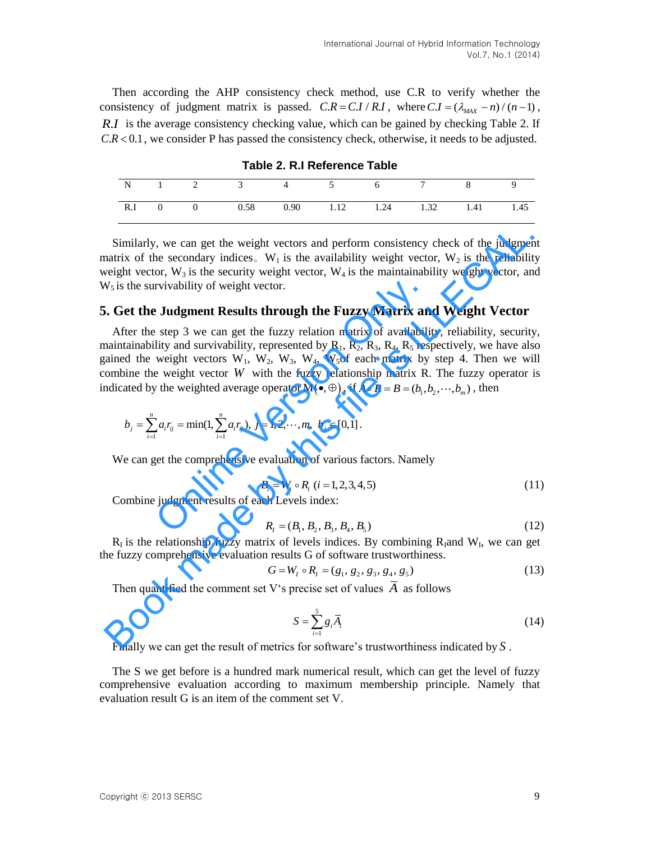Then according the AHP consistency check method, use C.R to verify whether the consistency of judgment matrix is passed.  $C.R = C.I/R.I$ , where  $C.I = (\lambda_{MAX} - n)/(n-1)$ , R.I is the average consistency checking value, which can be gained by checking Table 2. If  $C.R < 0.1$ , we consider P has passed the consistency check, otherwise, it needs to be adjusted.

| Table 2. INTINGICIENCE TABLE |  |  |      |      |  |      |              |      |      |  |  |
|------------------------------|--|--|------|------|--|------|--------------|------|------|--|--|
|                              |  |  |      |      |  |      |              |      |      |  |  |
| R.I                          |  |  | 0.58 | 0.90 |  | 1.24 | 32<br>ے بی و | 1.41 | 1.45 |  |  |

**Table 2. R.I Reference Table** 

Similarly, we can get the weight vectors and perform consistency check of the judgment matrix of the secondary indices. W<sub>1</sub> is the availability weight vector, W<sub>2</sub> is the reliability weight vector,  $W_3$  is the security weight vector,  $W_4$  is the maintainability weight vector, and  $W_5$  is the survivability of weight vector.

### **5. Get the Judgment Results through the Fuzzy Matrix and Weight Vector**

After the step 3 we can get the fuzzy relation matrix of availability, reliability, security, maintainability and survivability, represented by  $R_1$ ,  $R_2$ ,  $R_3$ ,  $R_4$ ,  $R_5$  respectively, we have also gained the weight vectors  $W_1$ ,  $W_2$ ,  $W_3$ ,  $W_4$ ,  $W_5$  each matrix by step 4. Then we will combine the weight vector  $W$  with the fuzzy relationship matrix R. The fuzzy operator is indicated by the weighted average operator  $M(\bullet, \oplus)$ , if  $A \circ R = B = (b_1, b_2, \dots, b_m)$ , then  $b_j = \sum_{i=1}^n a_i r_{ij} = \min(1, \sum_{i=1}^n a_i r_{ij}), j = 1, 2, \dots, m, b_j \in [0, 1]$ . rvivability of weight vector.<br> **Configure 10.4 Configure Version 2.1 <b>Matrix an**<br>
teep 3 we can get the fuzzy relation matrix of availabili<br>
lity and survivability, represented by R<sub>1</sub>, R<sub>2</sub>, R<sub>3</sub>, R<sub>4</sub>, R<sub>5</sub> res<br>
weigh Similarly, we can get the weight vectors and perform consistency check of the judgmenatrix of the secondary indices, W<sub>1</sub> is the availability weight vector, W<sub>2</sub> is the reliability<br>wight vector, W<sub>3</sub> is the security weigh

$$
b_j = \sum_{i=1}^n a_i r_{ij} = \min(1, \sum_{i=1}^n a_i r_{ij}), j = 1, 2, \cdots, m, b_j \in [0, 1].
$$

We can get the comprehensive evaluation of various factors. Namely

$$
B_i = W_i \circ R_i \ (i = 1, 2, 3, 4, 5) \tag{11}
$$

Combine judgment results of each Levels index:

$$
R_i = (B_1, B_2, B_3, B_4, B_5) \tag{12}
$$

 $R<sub>I</sub>$  is the relationship fuzzy matrix of levels indices. By combining  $R<sub>I</sub>$  and  $W<sub>I</sub>$ , we can get the fuzzy comprehensive evaluation results G of software trustworthiness.<br>  $G = W_1 \circ R_1 = (g_1, g_2, g_3, g_4, g_5)$ 

$$
G = W_1 \circ R_1 = (g_1, g_2, g_3, g_4, g_5) \tag{13}
$$

Then quantified the comment set V's precise set of values  $\overline{A}$  as follows

$$
S = \sum_{i=1}^{5} g_i \overline{A}_i \tag{14}
$$

Finally we can get the result of metrics for software's trustworthiness indicated by *S* .

The S we get before is a hundred mark numerical result, which can get the level of fuzzy comprehensive evaluation according to maximum membership principle. Namely that evaluation result G is an item of the comment set V.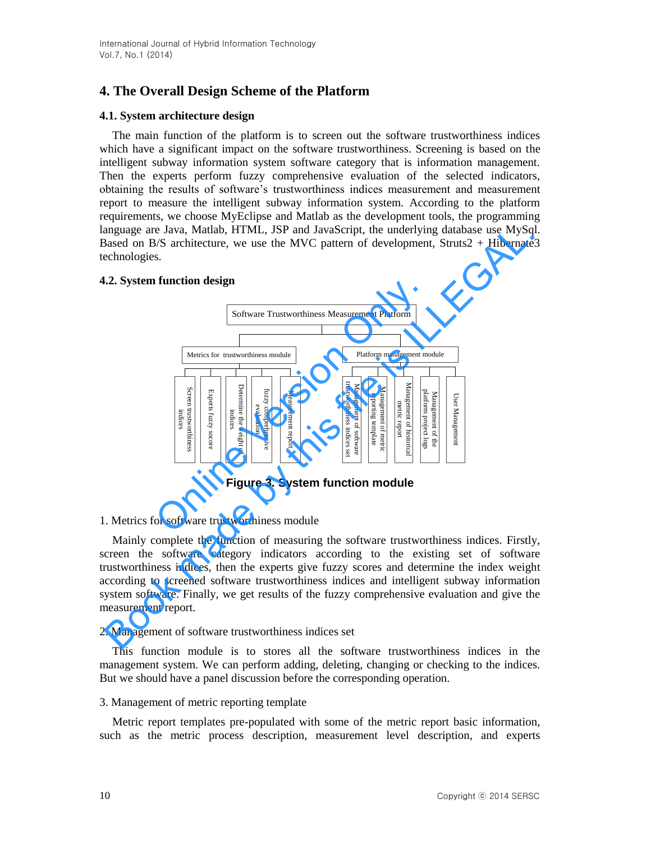## **4. The Overall Design Scheme of the Platform**

### **4.1. System architecture design**

The main function of the platform is to screen out the software trustworthiness indices which have a significant impact on the software trustworthiness. Screening is based on the intelligent subway information system software category that is information management. Then the experts perform fuzzy comprehensive evaluation of the selected indicators, obtaining the results of software's trustworthiness indices measurement and measurement report to measure the intelligent subway information system. According to the platform requirements, we choose MyEclipse and Matlab as the development tools, the programming language are Java, Matlab, HTML, JSP and JavaScript, the underlying database use MySql. Based on B/S architecture, we use the MVC pattern of development, Struts $2 + \text{Hibernate}3$ technologies.

### **4.2. System function design**



**Figure 3. System function module** 

### 1. Metrics for software trustworthiness module

Mainly complete the function of measuring the software trustworthiness indices. Firstly, screen the software category indicators according to the existing set of software trustworthiness indices, then the experts give fuzzy scores and determine the index weight according to screened software trustworthiness indices and intelligent subway information system software. Finally, we get results of the fuzzy comprehensive evaluation and give the measurement report.

### 2. Management of software trustworthiness indices set

This function module is to stores all the software trustworthiness indices in the management system. We can perform adding, deleting, changing or checking to the indices. But we should have a panel discussion before the corresponding operation.

### 3. Management of metric reporting template

Metric report templates pre-populated with some of the metric report basic information, such as the metric process description, measurement level description, and experts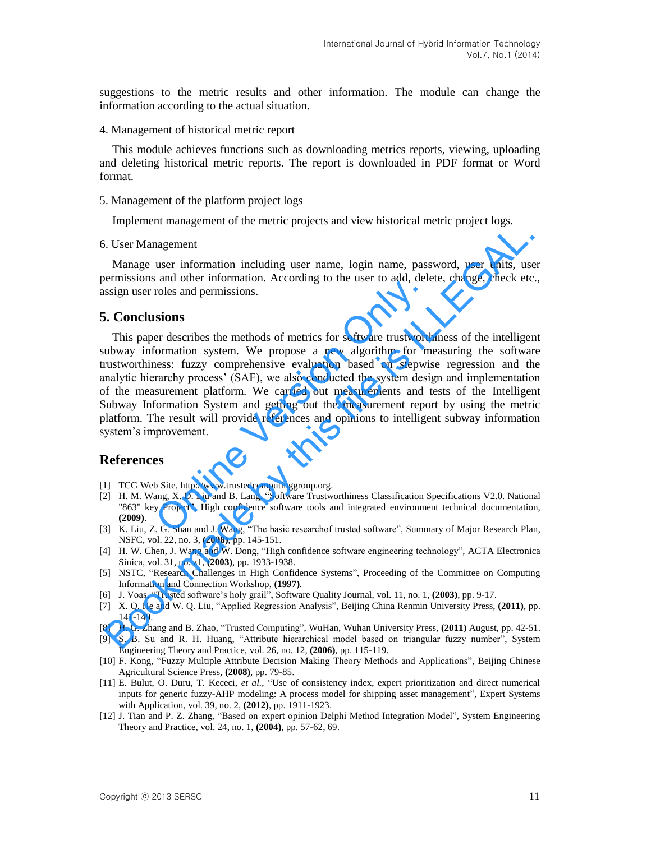suggestions to the metric results and other information. The module can change the information according to the actual situation.

#### 4. Management of historical metric report

This module achieves functions such as downloading metrics reports, viewing, uploading and deleting historical metric reports. The report is downloaded in PDF format or Word format.

5. Management of the platform project logs

Implement management of the metric projects and view historical metric project logs.

6. User Management

Manage user information including user name, login name, password, user units, user permissions and other information. According to the user to add, delete, change, check etc., assign user roles and permissions.

### **5. Conclusions**

This paper describes the methods of metrics for software trustworthiness of the intelligent subway information system. We propose a new algorithm for measuring the software trustworthiness: fuzzy comprehensive evaluation based on stepwise regression and the analytic hierarchy process' (SAF), we also conducted the system design and implementation of the measurement platform. We carried out measurements and tests of the Intelligent Subway Information System and getting out the measurement report by using the metric platform. The result will provide references and opinions to intelligent subway information system's improvement. The same of the methods of metrics for software trustworth<br>roles and permissions.<br>Sions<br>er describes the methods of metrics for software trustworth<br>formation system. We propose a new algorithm for m<br>ess: fuzzy comprehensiv **Example 10**<br>
13. User Management<br>
Manage user information including user name, login name, password, user units, use<br>
termissions and other information. According to the user to add, delete, change, check etc<br>
steign use

### **References**

- [1] TCG Web Site, http://www.trustedcomputinggroup.org.
- [2] H. M. Wang, X. D. Liu and B. Lang, "Software Trustworthiness Classification Specifications V2.0. National "863" key Project", High confidence software tools and integrated environment technical documentation, **(2009)**.
- [3] K. Liu, Z. G. Shan and J. Wang, "The basic researchof trusted software", Summary of Major Research Plan, NSFC, vol. 22, no. 3, **(2008)**, pp. 145-151.
- [4] H. W. Chen, J. Wang and W. Dong, "High confidence software engineering technology", ACTA Electronica Sinica, vol. 31, no. z1, **(2003)**, pp. 1933-1938.
- [5] NSTC, "Research Challenges in High Confidence Systems", Proceeding of the Committee on Computing Information and Connection Workshop, **(1997)**.
- [6] J. Voas, "Trusted software's holy grail", Software Quality Journal, vol. 11, no. 1, **(2003)**, pp. 9-17.
- [7] X. Q. He and W. Q. Liu, "Applied Regression Analysis", Beijing China Renmin University Press, **(2011)**, pp. 141-149.
- [8] H. G. Zhang and B. Zhao, "Trusted Computing", WuHan, Wuhan University Press, **(2011)** August, pp. 42-51.
- [9] S. B. Su and R. H. Huang, "Attribute hierarchical model based on triangular fuzzy number", System Engineering Theory and Practice, vol. 26, no. 12, **(2006)**, pp. 115-119.
- [10] F. Kong, "Fuzzy Multiple Attribute Decision Making Theory Methods and Applications", Beijing Chinese Agricultural Science Press, **(2008)**, pp. 79-85.
- [11] E. Bulut, O. Duru, T. Kececi, *et al.*, "Use of consistency index, expert prioritization and direct numerical inputs for generic fuzzy-AHP modeling: A process model for shipping asset management", Expert Systems with Application, vol. 39, no. 2, **(2012)**, pp. 1911-1923.
- [12] J. Tian and P. Z. Zhang, "Based on expert opinion Delphi Method Integration Model", System Engineering Theory and Practice, vol. 24, no. 1, **(2004)**, pp. 57-62, 69.